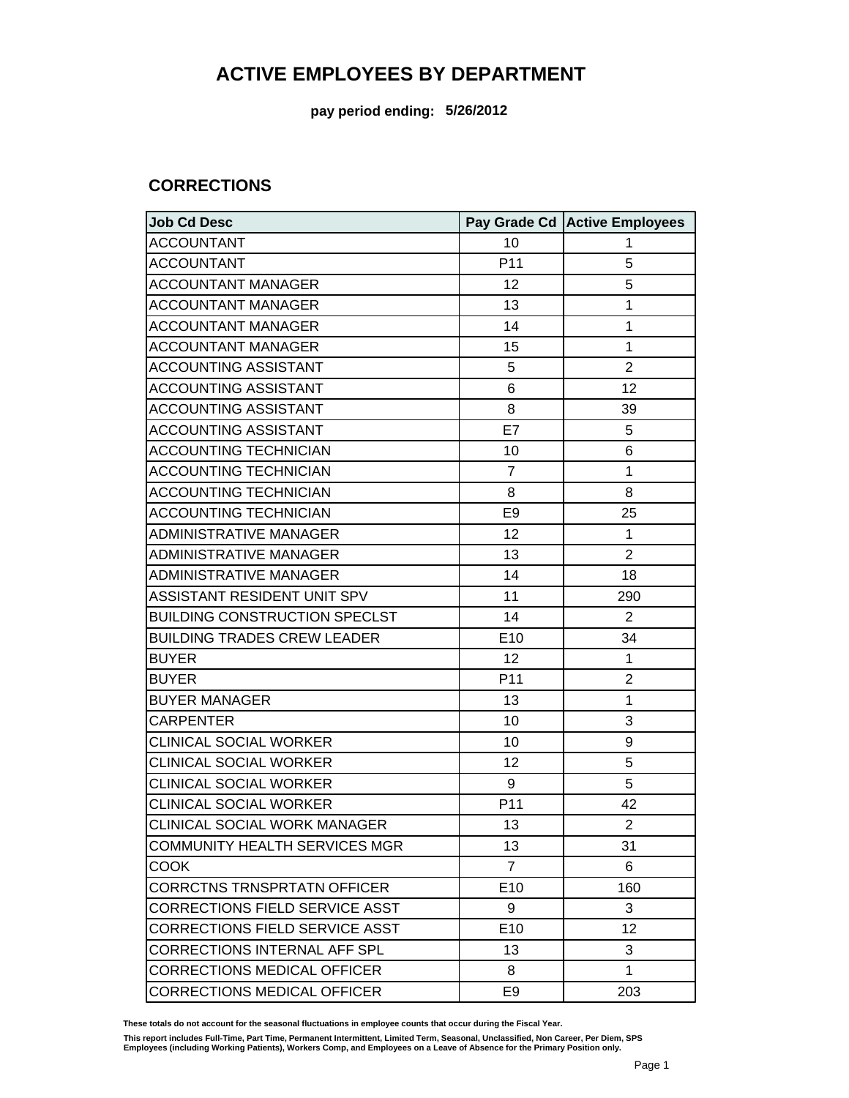**pay period ending: 5/26/2012**

#### **CORRECTIONS**

| <b>Job Cd Desc</b>                    |                 | Pay Grade Cd Active Employees |
|---------------------------------------|-----------------|-------------------------------|
| <b>ACCOUNTANT</b>                     | 10              | 1                             |
| <b>ACCOUNTANT</b>                     | P11             | 5                             |
| <b>ACCOUNTANT MANAGER</b>             | 12              | 5                             |
| <b>ACCOUNTANT MANAGER</b>             | 13              | 1                             |
| <b>ACCOUNTANT MANAGER</b>             | 14              | $\mathbf{1}$                  |
| <b>ACCOUNTANT MANAGER</b>             | 15              | $\mathbf{1}$                  |
| <b>ACCOUNTING ASSISTANT</b>           | 5               | $\overline{2}$                |
| <b>ACCOUNTING ASSISTANT</b>           | 6               | 12                            |
| <b>ACCOUNTING ASSISTANT</b>           | 8               | 39                            |
| <b>ACCOUNTING ASSISTANT</b>           | E7              | 5                             |
| <b>ACCOUNTING TECHNICIAN</b>          | 10              | 6                             |
| <b>ACCOUNTING TECHNICIAN</b>          | $\overline{7}$  | 1                             |
| <b>ACCOUNTING TECHNICIAN</b>          | 8               | 8                             |
| <b>ACCOUNTING TECHNICIAN</b>          | E <sub>9</sub>  | 25                            |
| <b>ADMINISTRATIVE MANAGER</b>         | 12              | $\mathbf{1}$                  |
| ADMINISTRATIVE MANAGER                | 13              | $\overline{2}$                |
| <b>ADMINISTRATIVE MANAGER</b>         | 14              | 18                            |
| ASSISTANT RESIDENT UNIT SPV           | 11              | 290                           |
| <b>BUILDING CONSTRUCTION SPECLST</b>  | 14              | $\overline{2}$                |
| <b>BUILDING TRADES CREW LEADER</b>    | E10             | 34                            |
| <b>BUYER</b>                          | 12              | 1                             |
| <b>BUYER</b>                          | P11             | $\overline{2}$                |
| <b>BUYER MANAGER</b>                  | 13              | 1                             |
| <b>CARPENTER</b>                      | 10              | 3                             |
| <b>CLINICAL SOCIAL WORKER</b>         | 10              | 9                             |
| <b>CLINICAL SOCIAL WORKER</b>         | 12              | 5                             |
| <b>CLINICAL SOCIAL WORKER</b>         | 9               | 5                             |
| <b>CLINICAL SOCIAL WORKER</b>         | P11             | 42                            |
| CLINICAL SOCIAL WORK MANAGER          | 13              | $\overline{2}$                |
| <b>COMMUNITY HEALTH SERVICES MGR</b>  | 13              | 31                            |
| <b>COOK</b>                           | $\overline{7}$  | 6                             |
| <b>CORRCTNS TRNSPRTATN OFFICER</b>    | E <sub>10</sub> | 160                           |
| <b>CORRECTIONS FIELD SERVICE ASST</b> | 9               | 3                             |
| <b>CORRECTIONS FIELD SERVICE ASST</b> | E <sub>10</sub> | 12                            |
| CORRECTIONS INTERNAL AFF SPL          | 13              | 3                             |
| <b>CORRECTIONS MEDICAL OFFICER</b>    | 8               | 1                             |
| <b>CORRECTIONS MEDICAL OFFICER</b>    | E <sub>9</sub>  | 203                           |

**These totals do not account for the seasonal fluctuations in employee counts that occur during the Fiscal Year.**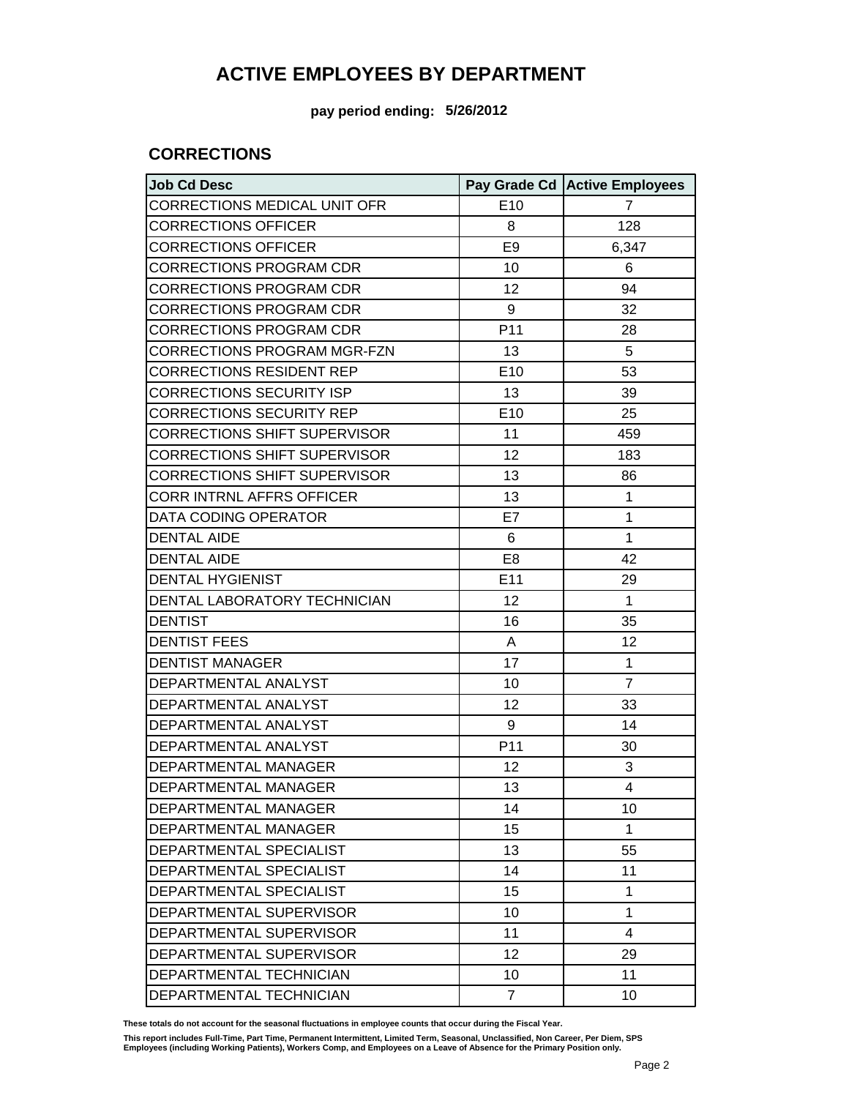**pay period ending: 5/26/2012**

#### **CORRECTIONS**

| <b>Job Cd Desc</b>                  |                 | Pay Grade Cd Active Employees |
|-------------------------------------|-----------------|-------------------------------|
| CORRECTIONS MEDICAL UNIT OFR        | E10             | $\overline{7}$                |
| <b>CORRECTIONS OFFICER</b>          | 8               | 128                           |
| <b>CORRECTIONS OFFICER</b>          | E <sub>9</sub>  | 6,347                         |
| <b>CORRECTIONS PROGRAM CDR</b>      | 10              | 6                             |
| <b>CORRECTIONS PROGRAM CDR</b>      | 12              | 94                            |
| <b>CORRECTIONS PROGRAM CDR</b>      | 9               | 32                            |
| <b>CORRECTIONS PROGRAM CDR</b>      | P <sub>11</sub> | 28                            |
| <b>CORRECTIONS PROGRAM MGR-FZN</b>  | 13              | 5                             |
| <b>CORRECTIONS RESIDENT REP</b>     | E10             | 53                            |
| <b>CORRECTIONS SECURITY ISP</b>     | 13              | 39                            |
| <b>CORRECTIONS SECURITY REP</b>     | E10             | 25                            |
| <b>CORRECTIONS SHIFT SUPERVISOR</b> | 11              | 459                           |
| <b>CORRECTIONS SHIFT SUPERVISOR</b> | 12              | 183                           |
| <b>CORRECTIONS SHIFT SUPERVISOR</b> | 13              | 86                            |
| <b>CORR INTRNL AFFRS OFFICER</b>    | 13              | 1                             |
| DATA CODING OPERATOR                | E7              | 1                             |
| <b>DENTAL AIDE</b>                  | 6               | 1                             |
| <b>DENTAL AIDE</b>                  | E <sub>8</sub>  | 42                            |
| <b>DENTAL HYGIENIST</b>             | E11             | 29                            |
| DENTAL LABORATORY TECHNICIAN        | 12              | 1                             |
| <b>DENTIST</b>                      | 16              | 35                            |
| <b>DENTIST FEES</b>                 | A               | 12                            |
| <b>DENTIST MANAGER</b>              | 17              | 1                             |
| DEPARTMENTAL ANALYST                | 10              | $\overline{7}$                |
| DEPARTMENTAL ANALYST                | 12              | 33                            |
| DEPARTMENTAL ANALYST                | 9               | 14                            |
| DEPARTMENTAL ANALYST                | P <sub>11</sub> | 30                            |
| DEPARTMENTAL MANAGER                | 12              | 3                             |
| DEPARTMENTAL MANAGER                | 13              | 4                             |
| DEPARTMENTAL MANAGER                | 14              | 10                            |
| DEPARTMENTAL MANAGER                | 15              | 1                             |
| DEPARTMENTAL SPECIALIST             | 13              | 55                            |
| DEPARTMENTAL SPECIALIST             | 14              | 11                            |
| DEPARTMENTAL SPECIALIST             | 15              | 1                             |
| DEPARTMENTAL SUPERVISOR             | 10              | 1                             |
| DEPARTMENTAL SUPERVISOR             | 11              | 4                             |
| DEPARTMENTAL SUPERVISOR             | 12              | 29                            |
| DEPARTMENTAL TECHNICIAN             | 10              | 11                            |
| DEPARTMENTAL TECHNICIAN             | $\overline{7}$  | 10                            |

**These totals do not account for the seasonal fluctuations in employee counts that occur during the Fiscal Year.**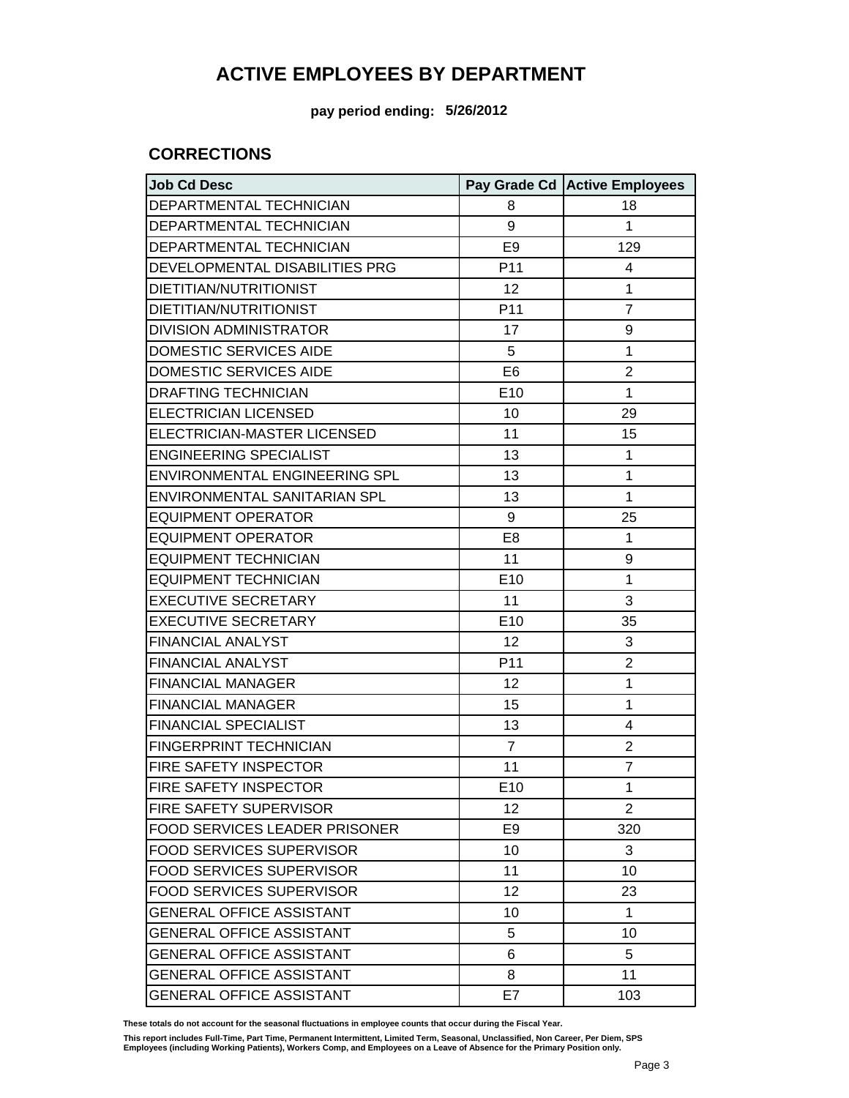**pay period ending: 5/26/2012**

#### **CORRECTIONS**

| <b>Job Cd Desc</b>                   |                 | Pay Grade Cd Active Employees |
|--------------------------------------|-----------------|-------------------------------|
| DEPARTMENTAL TECHNICIAN              | 8               | 18                            |
| DEPARTMENTAL TECHNICIAN              | 9               | 1                             |
| DEPARTMENTAL TECHNICIAN              | E <sub>9</sub>  | 129                           |
| DEVELOPMENTAL DISABILITIES PRG       | P11             | 4                             |
| DIETITIAN/NUTRITIONIST               | 12              | 1                             |
| DIETITIAN/NUTRITIONIST               | P11             | $\overline{7}$                |
| <b>DIVISION ADMINISTRATOR</b>        | 17              | 9                             |
| <b>DOMESTIC SERVICES AIDE</b>        | 5               | 1                             |
| <b>DOMESTIC SERVICES AIDE</b>        | E <sub>6</sub>  | 2                             |
| <b>DRAFTING TECHNICIAN</b>           | E <sub>10</sub> | 1                             |
| <b>ELECTRICIAN LICENSED</b>          | 10              | 29                            |
| ELECTRICIAN-MASTER LICENSED          | 11              | 15                            |
| <b>ENGINEERING SPECIALIST</b>        | 13              | 1                             |
| ENVIRONMENTAL ENGINEERING SPL        | 13              | 1                             |
| ENVIRONMENTAL SANITARIAN SPL         | 13              | 1                             |
| <b>EQUIPMENT OPERATOR</b>            | 9               | 25                            |
| <b>EQUIPMENT OPERATOR</b>            | E <sub>8</sub>  | 1                             |
| <b>EQUIPMENT TECHNICIAN</b>          | 11              | 9                             |
| <b>EQUIPMENT TECHNICIAN</b>          | E <sub>10</sub> | 1                             |
| <b>EXECUTIVE SECRETARY</b>           | 11              | 3                             |
| <b>EXECUTIVE SECRETARY</b>           | E10             | 35                            |
| <b>FINANCIAL ANALYST</b>             | 12              | 3                             |
| FINANCIAL ANALYST                    | P11             | 2                             |
| <b>FINANCIAL MANAGER</b>             | 12              | 1                             |
| <b>FINANCIAL MANAGER</b>             | 15              | 1                             |
| <b>FINANCIAL SPECIALIST</b>          | 13              | 4                             |
| <b>FINGERPRINT TECHNICIAN</b>        | $\overline{7}$  | 2                             |
| FIRE SAFETY INSPECTOR                | 11              | $\overline{7}$                |
| FIRE SAFETY INSPECTOR                | E <sub>10</sub> | 1                             |
| FIRE SAFETY SUPERVISOR               | 12              | 2                             |
| <b>FOOD SERVICES LEADER PRISONER</b> | E <sub>9</sub>  | 320                           |
| <b>FOOD SERVICES SUPERVISOR</b>      | 10              | 3                             |
| <b>FOOD SERVICES SUPERVISOR</b>      | 11              | 10                            |
| <b>FOOD SERVICES SUPERVISOR</b>      | 12              | 23                            |
| <b>GENERAL OFFICE ASSISTANT</b>      | 10              | 1                             |
| <b>GENERAL OFFICE ASSISTANT</b>      | 5               | 10                            |
| <b>GENERAL OFFICE ASSISTANT</b>      | 6               | 5                             |
| <b>GENERAL OFFICE ASSISTANT</b>      | 8               | 11                            |
| <b>GENERAL OFFICE ASSISTANT</b>      | E7              | 103                           |

**These totals do not account for the seasonal fluctuations in employee counts that occur during the Fiscal Year.**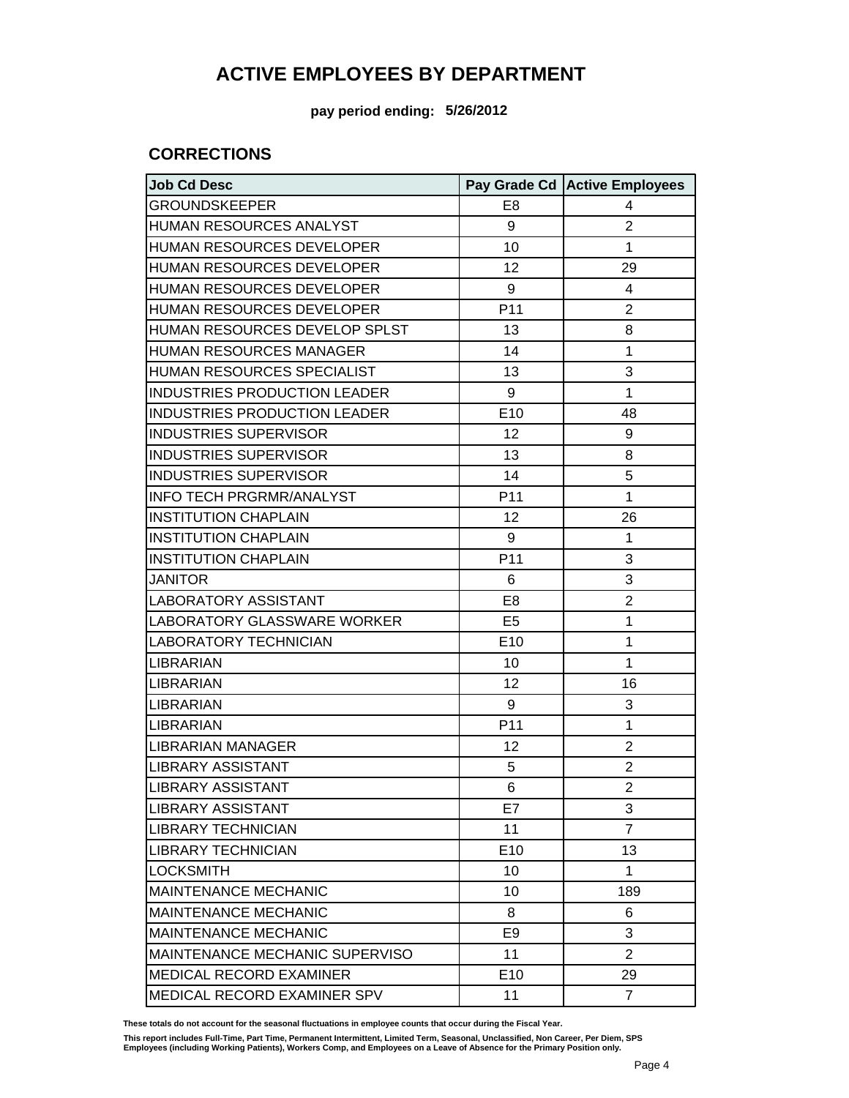**pay period ending: 5/26/2012**

#### **CORRECTIONS**

| <b>Job Cd Desc</b>                  |                 | Pay Grade Cd   Active Employees |
|-------------------------------------|-----------------|---------------------------------|
| <b>GROUNDSKEEPER</b>                | E <sub>8</sub>  | 4                               |
| <b>HUMAN RESOURCES ANALYST</b>      | 9               | $\overline{2}$                  |
| HUMAN RESOURCES DEVELOPER           | 10              | 1                               |
| <b>HUMAN RESOURCES DEVELOPER</b>    | 12              | 29                              |
| HUMAN RESOURCES DEVELOPER           | 9               | 4                               |
| <b>HUMAN RESOURCES DEVELOPER</b>    | P <sub>11</sub> | $\overline{2}$                  |
| HUMAN RESOURCES DEVELOP SPLST       | 13              | 8                               |
| <b>HUMAN RESOURCES MANAGER</b>      | 14              | 1                               |
| HUMAN RESOURCES SPECIALIST          | 13              | 3                               |
| <b>INDUSTRIES PRODUCTION LEADER</b> | 9               | 1                               |
| INDUSTRIES PRODUCTION LEADER        | E10             | 48                              |
| <b>INDUSTRIES SUPERVISOR</b>        | 12              | 9                               |
| <b>INDUSTRIES SUPERVISOR</b>        | 13              | 8                               |
| <b>INDUSTRIES SUPERVISOR</b>        | 14              | 5                               |
| <b>INFO TECH PRGRMR/ANALYST</b>     | P <sub>11</sub> | 1                               |
| <b>INSTITUTION CHAPLAIN</b>         | 12              | 26                              |
| <b>INSTITUTION CHAPLAIN</b>         | 9               | 1                               |
| <b>INSTITUTION CHAPLAIN</b>         | P <sub>11</sub> | 3                               |
| <b>JANITOR</b>                      | 6               | 3                               |
| LABORATORY ASSISTANT                | E8              | $\overline{c}$                  |
| LABORATORY GLASSWARE WORKER         | E <sub>5</sub>  | 1                               |
| <b>LABORATORY TECHNICIAN</b>        | E10             | 1                               |
| <b>LIBRARIAN</b>                    | 10              | 1                               |
| <b>LIBRARIAN</b>                    | 12              | 16                              |
| <b>LIBRARIAN</b>                    | 9               | 3                               |
| <b>LIBRARIAN</b>                    | P <sub>11</sub> | 1                               |
| <b>LIBRARIAN MANAGER</b>            | 12              | $\overline{2}$                  |
| <b>LIBRARY ASSISTANT</b>            | 5               | $\overline{c}$                  |
| <b>LIBRARY ASSISTANT</b>            | 6               | $\overline{2}$                  |
| <b>LIBRARY ASSISTANT</b>            | E7              | 3                               |
| <b>LIBRARY TECHNICIAN</b>           | 11              | $\overline{7}$                  |
| <b>LIBRARY TECHNICIAN</b>           | E <sub>10</sub> | 13                              |
| <b>LOCKSMITH</b>                    | 10              | 1                               |
| <b>MAINTENANCE MECHANIC</b>         | 10              | 189                             |
| <b>MAINTENANCE MECHANIC</b>         | 8               | 6                               |
| <b>MAINTENANCE MECHANIC</b>         | E9              | 3                               |
| MAINTENANCE MECHANIC SUPERVISO      | 11              | $\overline{2}$                  |
| <b>MEDICAL RECORD EXAMINER</b>      | E <sub>10</sub> | 29                              |
| MEDICAL RECORD EXAMINER SPV         | 11              | $\overline{7}$                  |

**These totals do not account for the seasonal fluctuations in employee counts that occur during the Fiscal Year.**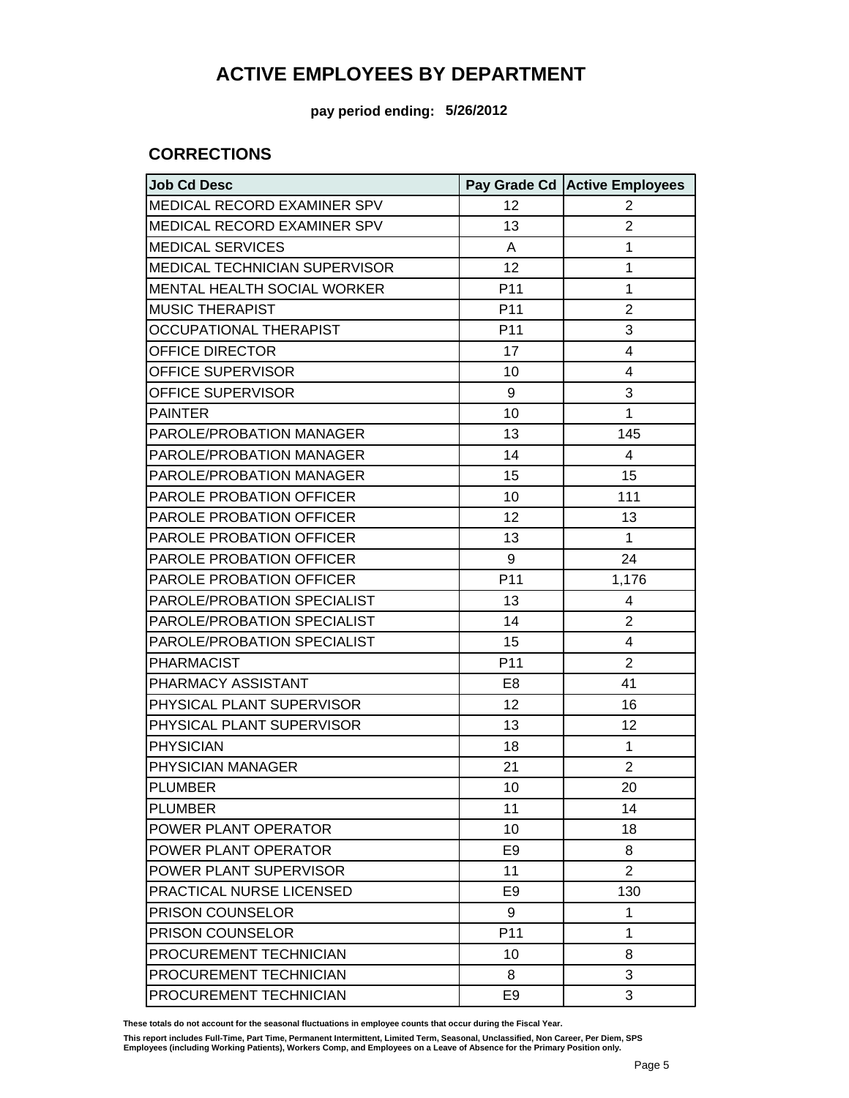**pay period ending: 5/26/2012**

#### **CORRECTIONS**

| <b>Job Cd Desc</b>                   |                 | Pay Grade Cd Active Employees |
|--------------------------------------|-----------------|-------------------------------|
| MEDICAL RECORD EXAMINER SPV          | 12              | 2                             |
| MEDICAL RECORD EXAMINER SPV          | 13              | $\overline{2}$                |
| <b>MEDICAL SERVICES</b>              | A               | 1                             |
| <b>MEDICAL TECHNICIAN SUPERVISOR</b> | 12              | 1                             |
| MENTAL HEALTH SOCIAL WORKER          | P <sub>11</sub> | 1                             |
| <b>MUSIC THERAPIST</b>               | P <sub>11</sub> | $\overline{2}$                |
| <b>OCCUPATIONAL THERAPIST</b>        | P <sub>11</sub> | 3                             |
| OFFICE DIRECTOR                      | 17              | 4                             |
| OFFICE SUPERVISOR                    | 10              | 4                             |
| OFFICE SUPERVISOR                    | 9               | 3                             |
| <b>PAINTER</b>                       | 10              | 1                             |
| PAROLE/PROBATION MANAGER             | 13              | 145                           |
| PAROLE/PROBATION MANAGER             | 14              | 4                             |
| PAROLE/PROBATION MANAGER             | 15              | 15                            |
| PAROLE PROBATION OFFICER             | 10              | 111                           |
| PAROLE PROBATION OFFICER             | 12              | 13                            |
| PAROLE PROBATION OFFICER             | 13              | 1                             |
| PAROLE PROBATION OFFICER             | 9               | 24                            |
| PAROLE PROBATION OFFICER             | P <sub>11</sub> | 1,176                         |
| PAROLE/PROBATION SPECIALIST          | 13              | 4                             |
| PAROLE/PROBATION SPECIALIST          | 14              | 2                             |
| PAROLE/PROBATION SPECIALIST          | 15              | 4                             |
| <b>PHARMACIST</b>                    | P <sub>11</sub> | 2                             |
| PHARMACY ASSISTANT                   | E8              | 41                            |
| PHYSICAL PLANT SUPERVISOR            | 12              | 16                            |
| PHYSICAL PLANT SUPERVISOR            | 13              | 12                            |
| <b>PHYSICIAN</b>                     | 18              | 1                             |
| PHYSICIAN MANAGER                    | 21              | $\overline{2}$                |
| <b>PLUMBER</b>                       | 10              | 20                            |
| <b>PLUMBER</b>                       | 11              | 14                            |
| POWER PLANT OPERATOR                 | 10              | 18                            |
| POWER PLANT OPERATOR                 | E9              | 8                             |
| POWER PLANT SUPERVISOR               | 11              | 2                             |
| <b>PRACTICAL NURSE LICENSED</b>      | E9              | 130                           |
| PRISON COUNSELOR                     | 9               | 1                             |
| <b>PRISON COUNSELOR</b>              | P <sub>11</sub> | 1                             |
| PROCUREMENT TECHNICIAN               | 10              | 8                             |
| PROCUREMENT TECHNICIAN               | 8               | 3                             |
| PROCUREMENT TECHNICIAN               | E <sub>9</sub>  | 3                             |

**These totals do not account for the seasonal fluctuations in employee counts that occur during the Fiscal Year.**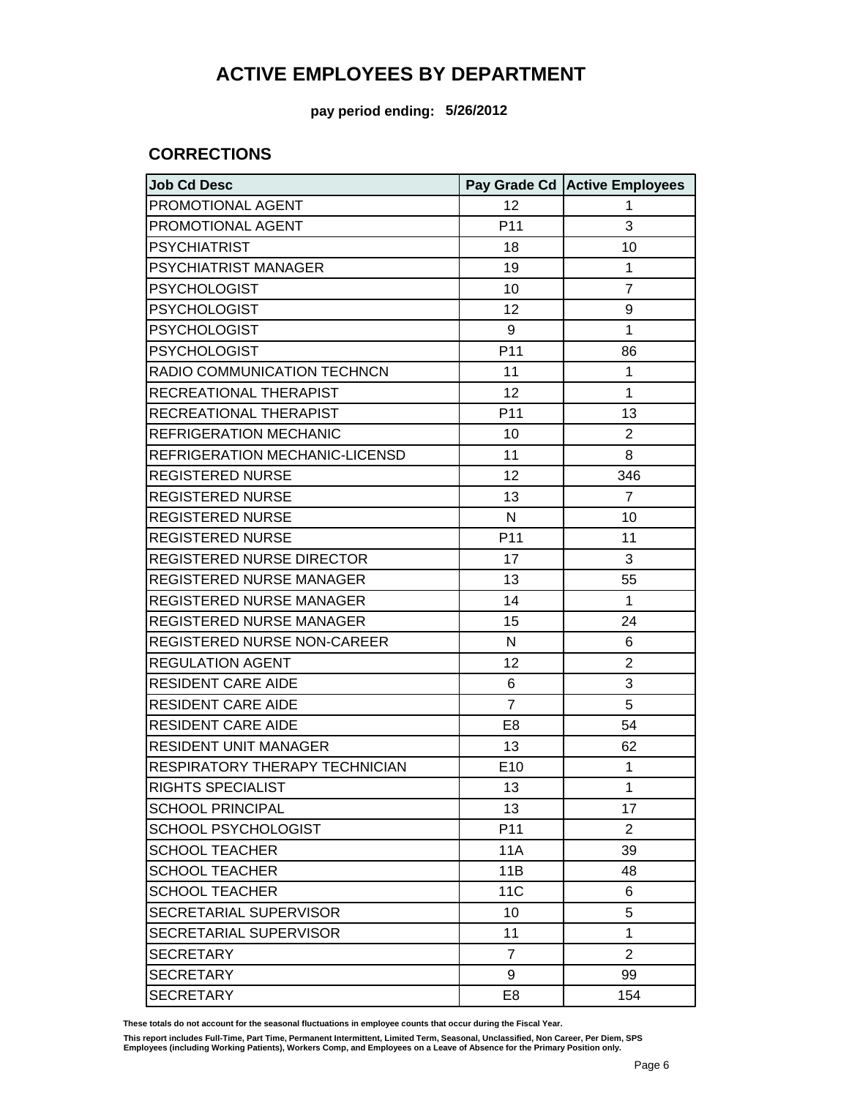**pay period ending: 5/26/2012**

#### **CORRECTIONS**

| <b>Job Cd Desc</b>               |                 | Pay Grade Cd Active Employees |
|----------------------------------|-----------------|-------------------------------|
| PROMOTIONAL AGENT                | 12              | 1                             |
| PROMOTIONAL AGENT                | P <sub>11</sub> | 3                             |
| <b>PSYCHIATRIST</b>              | 18              | 10                            |
| <b>PSYCHIATRIST MANAGER</b>      | 19              | 1                             |
| <b>PSYCHOLOGIST</b>              | 10              | $\overline{7}$                |
| <b>PSYCHOLOGIST</b>              | 12              | 9                             |
| <b>PSYCHOLOGIST</b>              | 9               | 1                             |
| <b>PSYCHOLOGIST</b>              | P11             | 86                            |
| RADIO COMMUNICATION TECHNCN      | 11              | 1                             |
| RECREATIONAL THERAPIST           | 12              | 1                             |
| RECREATIONAL THERAPIST           | P11             | 13                            |
| <b>REFRIGERATION MECHANIC</b>    | 10              | 2                             |
| REFRIGERATION MECHANIC-LICENSD   | 11              | 8                             |
| <b>REGISTERED NURSE</b>          | 12              | 346                           |
| <b>REGISTERED NURSE</b>          | 13              | $\overline{7}$                |
| <b>REGISTERED NURSE</b>          | N               | 10                            |
| <b>REGISTERED NURSE</b>          | P11             | 11                            |
| <b>REGISTERED NURSE DIRECTOR</b> | 17              | 3                             |
| REGISTERED NURSE MANAGER         | 13              | 55                            |
| REGISTERED NURSE MANAGER         | 14              | 1                             |
| REGISTERED NURSE MANAGER         | 15              | 24                            |
| REGISTERED NURSE NON-CAREER      | N               | 6                             |
| <b>REGULATION AGENT</b>          | 12              | $\overline{2}$                |
| <b>RESIDENT CARE AIDE</b>        | 6               | 3                             |
| <b>RESIDENT CARE AIDE</b>        | $\overline{7}$  | 5                             |
| <b>RESIDENT CARE AIDE</b>        | E <sub>8</sub>  | 54                            |
| <b>RESIDENT UNIT MANAGER</b>     | 13              | 62                            |
| RESPIRATORY THERAPY TECHNICIAN   | E10             | 1                             |
| <b>RIGHTS SPECIALIST</b>         | 13              | 1                             |
| <b>SCHOOL PRINCIPAL</b>          | 13              | 17                            |
| <b>SCHOOL PSYCHOLOGIST</b>       | P11             | 2                             |
| <b>SCHOOL TEACHER</b>            | 11A             | 39                            |
| <b>SCHOOL TEACHER</b>            | 11B             | 48                            |
| <b>SCHOOL TEACHER</b>            | <b>11C</b>      | 6                             |
| SECRETARIAL SUPERVISOR           | 10              | 5                             |
| SECRETARIAL SUPERVISOR           | 11              | 1                             |
| <b>SECRETARY</b>                 | $\overline{7}$  | $\overline{2}$                |
| <b>SECRETARY</b>                 | 9               | 99                            |
| <b>SECRETARY</b>                 | E <sub>8</sub>  | 154                           |

**These totals do not account for the seasonal fluctuations in employee counts that occur during the Fiscal Year.**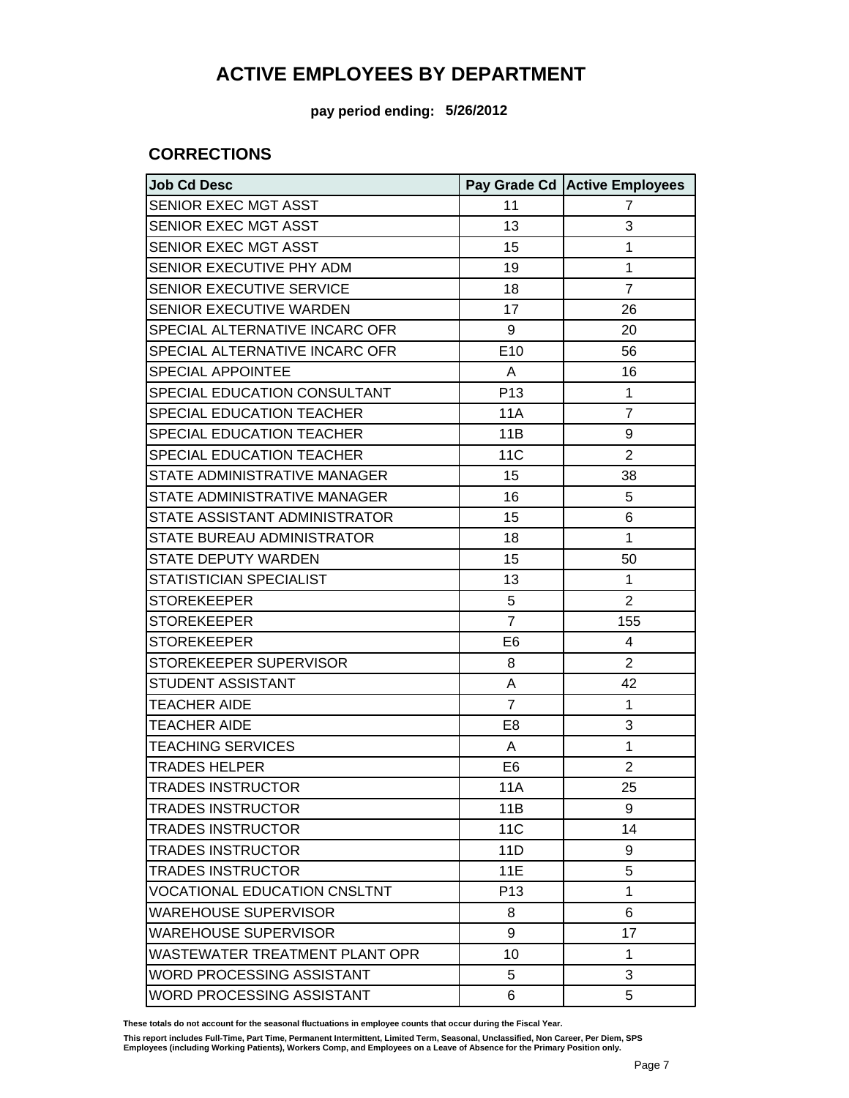**pay period ending: 5/26/2012**

#### **CORRECTIONS**

| <b>Job Cd Desc</b>                  |                 | Pay Grade Cd Active Employees |
|-------------------------------------|-----------------|-------------------------------|
| SENIOR EXEC MGT ASST                | 11              | $\overline{7}$                |
| SENIOR EXEC MGT ASST                | 13              | 3                             |
| SENIOR EXEC MGT ASST                | 15              | 1                             |
| SENIOR EXECUTIVE PHY ADM            | 19              | 1                             |
| SENIOR EXECUTIVE SERVICE            | 18              | $\overline{7}$                |
| SENIOR EXECUTIVE WARDEN             | 17              | 26                            |
| SPECIAL ALTERNATIVE INCARC OFR      | 9               | 20                            |
| SPECIAL ALTERNATIVE INCARC OFR      | E10             | 56                            |
| <b>SPECIAL APPOINTEE</b>            | A               | 16                            |
| SPECIAL EDUCATION CONSULTANT        | P <sub>13</sub> | 1                             |
| SPECIAL EDUCATION TEACHER           | 11A             | $\overline{7}$                |
| SPECIAL EDUCATION TEACHER           | 11B             | 9                             |
| SPECIAL EDUCATION TEACHER           | 11 <sub>C</sub> | $\overline{2}$                |
| STATE ADMINISTRATIVE MANAGER        | 15              | 38                            |
| STATE ADMINISTRATIVE MANAGER        | 16              | 5                             |
| STATE ASSISTANT ADMINISTRATOR       | 15              | 6                             |
| STATE BUREAU ADMINISTRATOR          | 18              | 1                             |
| <b>STATE DEPUTY WARDEN</b>          | 15              | 50                            |
| STATISTICIAN SPECIALIST             | 13              | 1                             |
| <b>STOREKEEPER</b>                  | 5               | $\overline{2}$                |
| <b>STOREKEEPER</b>                  | $\overline{7}$  | 155                           |
| <b>STOREKEEPER</b>                  | E <sub>6</sub>  | 4                             |
| STOREKEEPER SUPERVISOR              | 8               | 2                             |
| <b>STUDENT ASSISTANT</b>            | A               | 42                            |
| <b>TEACHER AIDE</b>                 | $\overline{7}$  | 1                             |
| <b>TEACHER AIDE</b>                 | E <sub>8</sub>  | 3                             |
| <b>TEACHING SERVICES</b>            | Α               | 1                             |
| <b>TRADES HELPER</b>                | E <sub>6</sub>  | $\overline{2}$                |
| <b>TRADES INSTRUCTOR</b>            | 11A             | 25                            |
| <b>TRADES INSTRUCTOR</b>            | 11B             | 9                             |
| <b>TRADES INSTRUCTOR</b>            | <b>11C</b>      | 14                            |
| <b>TRADES INSTRUCTOR</b>            | 11D             | 9                             |
| <b>TRADES INSTRUCTOR</b>            | 11E             | 5                             |
| <b>VOCATIONAL EDUCATION CNSLTNT</b> | P <sub>13</sub> | 1                             |
| <b>WAREHOUSE SUPERVISOR</b>         | 8               | 6                             |
| <b>WAREHOUSE SUPERVISOR</b>         | 9               | 17                            |
| WASTEWATER TREATMENT PLANT OPR      | 10              | $\mathbf{1}$                  |
| WORD PROCESSING ASSISTANT           | 5               | 3                             |
| <b>WORD PROCESSING ASSISTANT</b>    | 6               | 5                             |

**These totals do not account for the seasonal fluctuations in employee counts that occur during the Fiscal Year.**